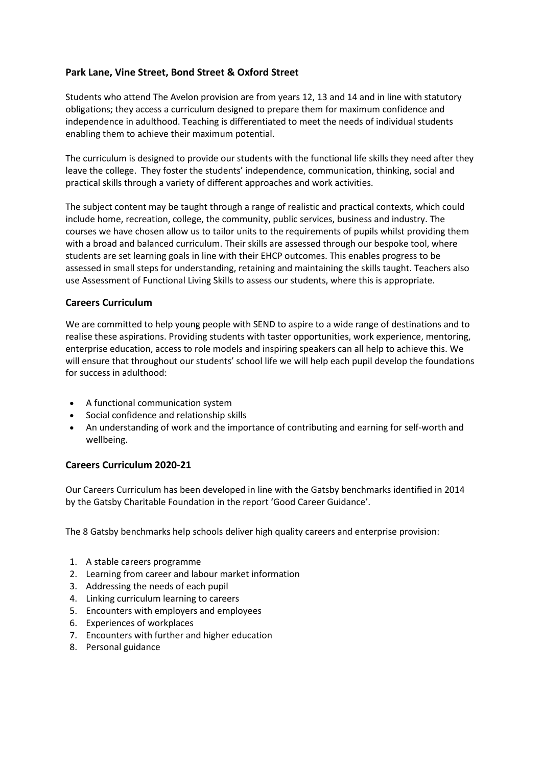## **Park Lane, Vine Street, Bond Street & Oxford Street**

Students who attend The Avelon provision are from years 12, 13 and 14 and in line with statutory obligations; they access a curriculum designed to prepare them for maximum confidence and independence in adulthood. Teaching is differentiated to meet the needs of individual students enabling them to achieve their maximum potential.

The curriculum is designed to provide our students with the functional life skills they need after they leave the college. They foster the students' independence, communication, thinking, social and practical skills through a variety of different approaches and work activities.

The subject content may be taught through a range of realistic and practical contexts, which could include home, recreation, college, the community, public services, business and industry. The courses we have chosen allow us to tailor units to the requirements of pupils whilst providing them with a broad and balanced curriculum. Their skills are assessed through our bespoke tool, where students are set learning goals in line with their EHCP outcomes. This enables progress to be assessed in small steps for understanding, retaining and maintaining the skills taught. Teachers also use Assessment of Functional Living Skills to assess our students, where this is appropriate.

## **Careers Curriculum**

We are committed to help young people with SEND to aspire to a wide range of destinations and to realise these aspirations. Providing students with taster opportunities, work experience, mentoring, enterprise education, access to role models and inspiring speakers can all help to achieve this. We will ensure that throughout our students' school life we will help each pupil develop the foundations for success in adulthood:

- A functional communication system
- Social confidence and relationship skills
- An understanding of work and the importance of contributing and earning for self-worth and wellbeing.

## **Careers [Curriculum](http://staging.corbetsteyschool.org.uk/wp-content/uploads/2020/11/Careers-Curriculum-20-21.pdf) 2020-21**

Our Careers Curriculum has been developed in line with the Gatsby benchmarks identified in 2014 by the Gatsby Charitable Foundation in the report 'Good Career Guidance'.

The 8 Gatsby benchmarks help schools deliver high quality careers and enterprise provision:

- 1. A stable careers programme
- 2. Learning from career and labour market information
- 3. Addressing the needs of each pupil
- 4. Linking curriculum learning to careers
- 5. Encounters with employers and employees
- 6. Experiences of workplaces
- 7. Encounters with further and higher education
- 8. Personal guidance